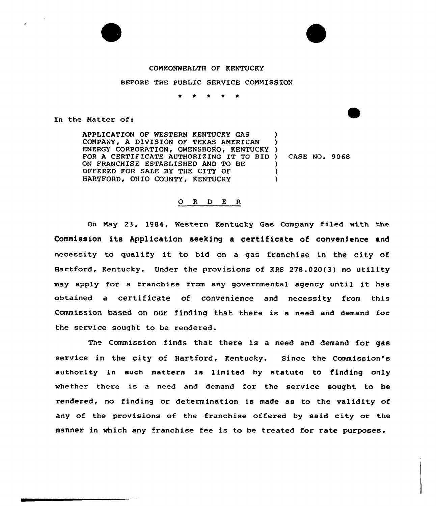## COMMONWEALTH OF KENTUCKY

## BEFORE THE PUBLIC SERVICE COMMISSION

In the Matter of:

APPLICATION OF WESTERN KENTUCKY GAS COMPANY, A DIVISION OF TEXAS AMERICAN ENERGY CORPORATION, OWENSBORO, KENTUCKY ) FOR A CERTIFICATE AUTHORIZING IT TO BID ) ON FRANCHISE ESTABLISHED AND TO BE OFFERED FOR SALE BY THE CITY OF HARTFORD, OHIO COUNTY, KENTUCKY ) ) ) CASE NO. 9068 ) )

## 0 <sup>R</sup> <sup>D</sup> E <sup>R</sup>

On May 23, 1984, Western Kentucky Gas Company filed with the Commission its Application seeking <sup>a</sup> certificate of convenience and necessity to qualify it to bid on <sup>a</sup> gas franchise in the city of Hartford, Kentucky. Under the provisions of KRS 278.020(3) no utility may apply for <sup>a</sup> franchise from any governmental agency until it has obtained a certificate of convenience and necessity from this COmmiSSiOn baSed On Our finding that there is a need and demand for the service sought to be rendered.

The Commission finds that there is a need and demand for gas service in the city of Hartford, Kentucky. Since the Commission's authority in such matters is limited hy statute to finding only whether there is a need and demand for the service sought to be rendered, no finding or determination is made as to the validity of any of the provisions of the franchise offered by said city or the manner in which any franchise fee is to be treated for rate purposes.